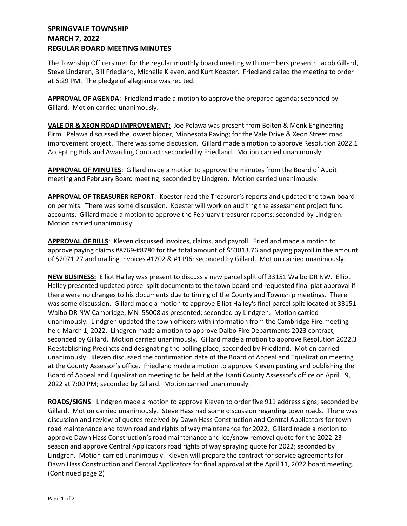## **SPRINGVALE TOWNSHIP MARCH 7, 2022 REGULAR BOARD MEETING MINUTES**

The Township Officers met for the regular monthly board meeting with members present: Jacob Gillard, Steve Lindgren, Bill Friedland, Michelle Kleven, and Kurt Koester. Friedland called the meeting to order at 6:29 PM. The pledge of allegiance was recited.

APPROVAL OF AGENDA: Friedland made a motion to approve the prepared agenda; seconded by Gillard. Motion carried unanimously.

**VALE DR & XEON ROAD IMPROVEMENT:** Joe Pelawa was present from Bolten & Menk Engineering Firm. Pelawa discussed the lowest bidder, Minnesota Paving; for the Vale Drive & Xeon Street road improvement project. There was some discussion. Gillard made a motion to approve Resolution 2022.1 Accepting Bids and Awarding Contract; seconded by Friedland. Motion carried unanimously.

**APPROVAL OF MINUTES**: Gillard made a motion to approve the minutes from the Board of Audit meeting and February Board meeting; seconded by Lindgren. Motion carried unanimously.

**APPROVAL OF TREASURER REPORT**: Koester read the Treasurer's reports and updated the town board on permits. There was some discussion. Koester will work on auditing the assessment project fund accounts. Gillard made a motion to approve the February treasurer reports; seconded by Lindgren. Motion carried unanimously.

**APPROVAL OF BILLS**: Kleven discussed invoices, claims, and payroll. Friedland made a motion to approve paying claims #8769-#8780 for the total amount of \$53813.76 and paying payroll in the amount of \$2071.27 and mailing Invoices #1202 & #1196; seconded by Gillard. Motion carried unanimously.

**NEW BUSINESS:** Elliot Halley was present to discuss a new parcel split off 33151 Walbo DR NW. Elliot Halley presented updated parcel split documents to the town board and requested final plat approval if there were no changes to his documents due to timing of the County and Township meetings. There was some discussion. Gillard made a motion to approve Elliot Halley's final parcel split located at 33151 Walbo DR NW Cambridge, MN 55008 as presented; seconded by Lindgren. Motion carried unanimously. Lindgren updated the town officers with information from the Cambridge Fire meeting held March 1, 2022. Lindgren made a motion to approve Dalbo Fire Departments 2023 contract; seconded by Gillard. Motion carried unanimously. Gillard made a motion to approve Resolution 2022.3 Reestablishing Precincts and designating the polling place; seconded by Friedland. Motion carried unanimously. Kleven discussed the confirmation date of the Board of Appeal and Equalization meeting at the County Assessor's office. Friedland made a motion to approve Kleven posting and publishing the Board of Appeal and Equalization meeting to be held at the Isanti County Assessor's office on April 19, 2022 at 7:00 PM; seconded by Gillard. Motion carried unanimously.

**ROADS/SIGNS**: Lindgren made a motion to approve Kleven to order five 911 address signs; seconded by Gillard. Motion carried unanimously. Steve Hass had some discussion regarding town roads. There was discussion and review of quotes received by Dawn Hass Construction and Central Applicators for town road maintenance and town road and rights of way maintenance for 2022. Gillard made a motion to approve Dawn Hass Construction's road maintenance and ice/snow removal quote for the 2022-23 season and approve Central Applicators road rights of way spraying quote for 2022; seconded by Lindgren. Motion carried unanimously. Kleven will prepare the contract for service agreements for Dawn Hass Construction and Central Applicators for final approval at the April 11, 2022 board meeting. (Continued page 2)